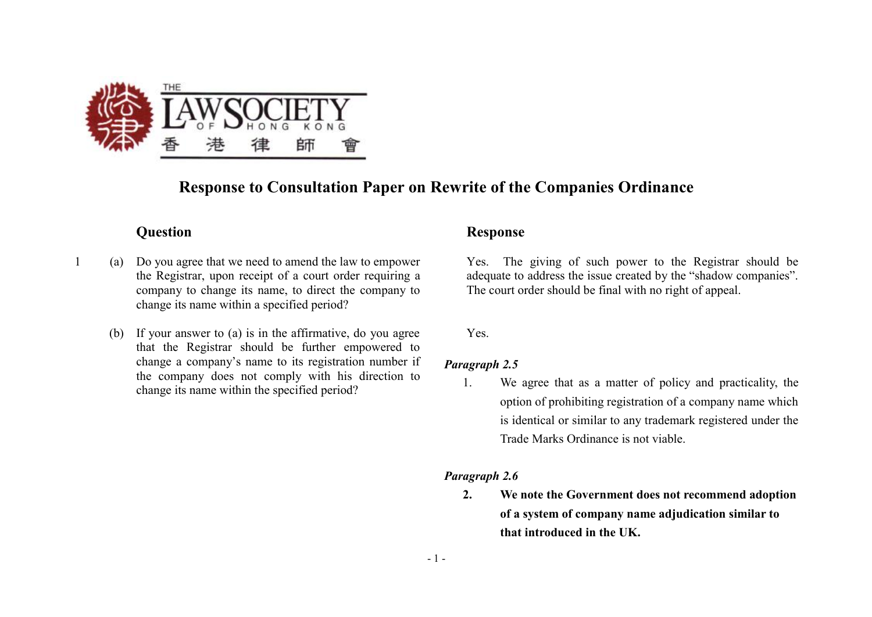

# **Response to Consultation Paper on Rewrite of the Companies Ordinance**

- 1 (a) Do you agree that we need to amend the law to empower the Registrar, upon receipt of a court order requiring a company to change its name, to direct the company to change its name within a specified period?
	- (b) If your answer to (a) is in the affirmative, do you agree that the Registrar should be further empowered to change a company's name to its registration number if the company does not comply with his direction to change its name within the specified period?

# **Question Response**

Yes. The giving of such power to the Registrar should be adequate to address the issue created by the "shadow companies". The court order should be final with no right of appeal.

Yes.

### *Paragraph 2.5*

1. We agree that as a matter of policy and practicality, the option of prohibiting registration of a company name which is identical or similar to any trademark registered under the Trade Marks Ordinance is not viable.

## *Paragraph 2.6*

**2. We note the Government does not recommend adoption of a system of company name adjudication similar to that introduced in the UK.**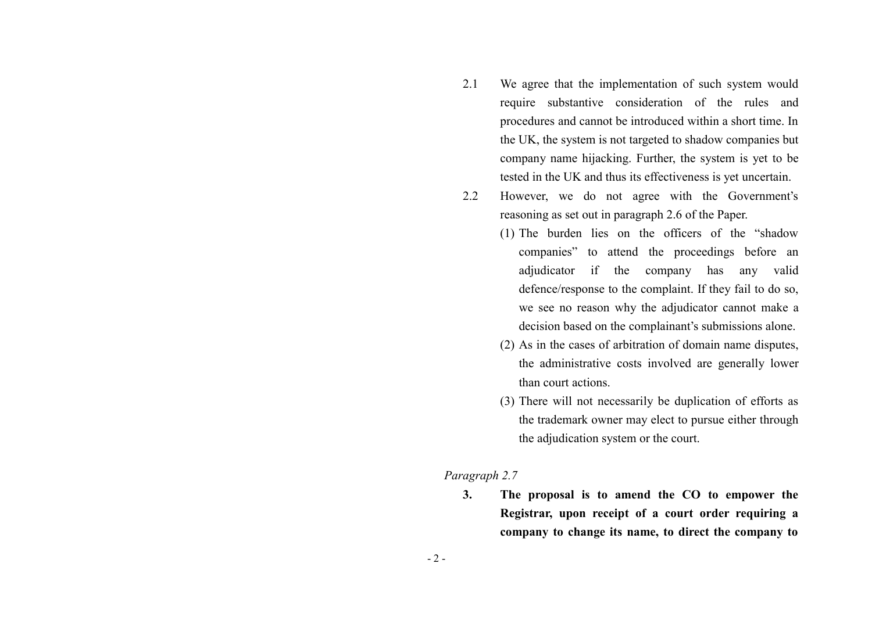- 2.1 We agree that the implementation of such system would require substantive consideration of the rules and procedures and cannot be introduced within a short time. In the UK, the system is not targeted to shadow companies but company name hijacking. Further, the system is yet to be tested in the UK and thus its effectiveness is yet uncertain.
- 2.2 However, we do not agree with the Government's reasoning as set out in paragraph 2.6 of the Paper.
	- (1) The burden lies on the officers of the "shadow companies" to attend the proceedings before an adjudicator if the company has any valid defence/response to the complaint. If they fail to do so, we see no reason why the adjudicator cannot make a decision based on the complainant's submissions alone.
	- (2) As in the cases of arbitration of domain name disputes, the administrative costs involved are generally lower than court actions.
	- (3) There will not necessarily be duplication of efforts as the trademark owner may elect to pursue either through the adjudication system or the court.

#### *Paragraph 2.7*

**3. The proposal is to amend the CO to empower the Registrar, upon receipt of a court order requiring a company to change its name, to direct the company to**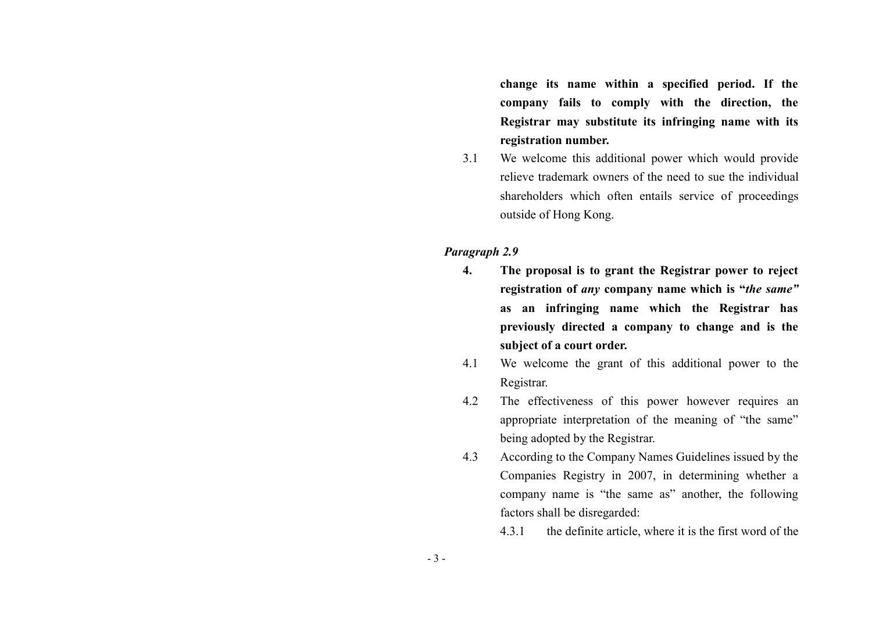**change its name within a specified period. If the company fails to comply with the direction, the Registrar may substitute its infringing name with its registration number.** 

3.1 We welcome this additional power which would provide relieve trademark owners of the need to sue the individual shareholders which often entails service of proceedings outside of Hong Kong.

## *Paragraph 2.9*

- **4. The proposal is to grant the Registrar power to reject registration of** *any* **company name which is "***the same"* **as an infringing name which the Registrar has previously directed a company to change and is the subject of a court order.**
- 4.1 We welcome the grant of this additional power to the Registrar.
- 4.2 The effectiveness of this power however requires an appropriate interpretation of the meaning of "the same" being adopted by the Registrar.
- 4.3 According to the Company Names Guidelines issued by the Companies Registry in 2007, in determining whether a company name is "the same as" another, the following factors shall be disregarded:

4.3.1 the definite article, where it is the first word of the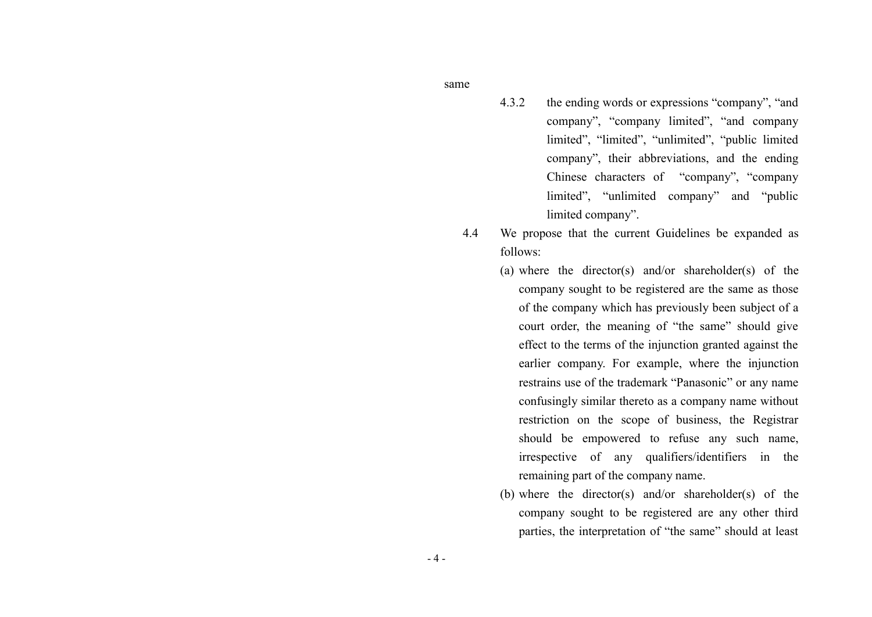same

- 4.3.2 the ending words or expressions "company", "and company", "company limited", "and company limited", "limited", "unlimited", "public limited company", their abbreviations, and the ending Chinese characters of "company", "company limited", "unlimited company" and "public limited company".
- 4.4 We propose that the current Guidelines be expanded as follows:
	- (a) where the director(s) and/or shareholder(s) of the company sought to be registered are the same as those of the company which has previously been subject of a court order, the meaning of "the same" should give effect to the terms of the injunction granted against the earlier company. For example, where the injunction restrains use of the trademark "Panasonic" or any name confusingly similar thereto as a company name without restriction on the scope of business, the Registrar should be empowered to refuse any such name, irrespective of any qualifiers/identifiers in the remaining part of the company name.
	- (b) where the director(s) and/or shareholder(s) of the company sought to be registered are any other third parties, the interpretation of "the same" should at least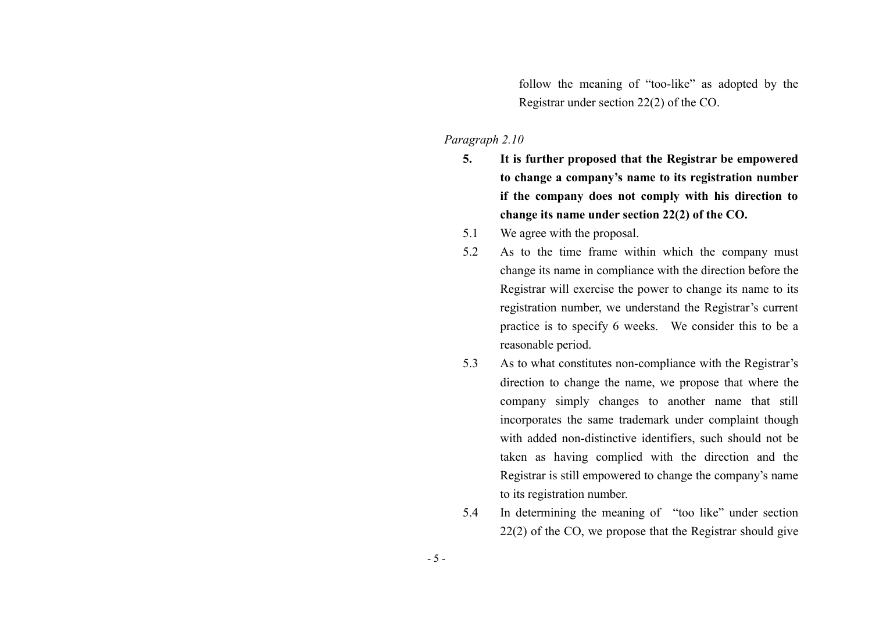follow the meaning of "too-like" as adopted by the Registrar under section 22(2) of the CO.

# *Paragraph 2.10*

- **5. It is further proposed that the Registrar be empowered to change a company's name to its registration number if the company does not comply with his direction to change its name under section 22(2) of the CO.**
- 5.1 We agree with the proposal.
- 5.2 As to the time frame within which the company must change its name in compliance with the direction before the Registrar will exercise the power to change its name to its registration number, we understand the Registrar's current practice is to specify 6 weeks. We consider this to be a reasonable period.
- 5.3 As to what constitutes non-compliance with the Registrar's direction to change the name, we propose that where the company simply changes to another name that still incorporates the same trademark under complaint though with added non-distinctive identifiers, such should not be taken as having complied with the direction and the Registrar is still empowered to change the company's name to its registration number.
- 5.4 In determining the meaning of "too like" under section 22(2) of the CO, we propose that the Registrar should give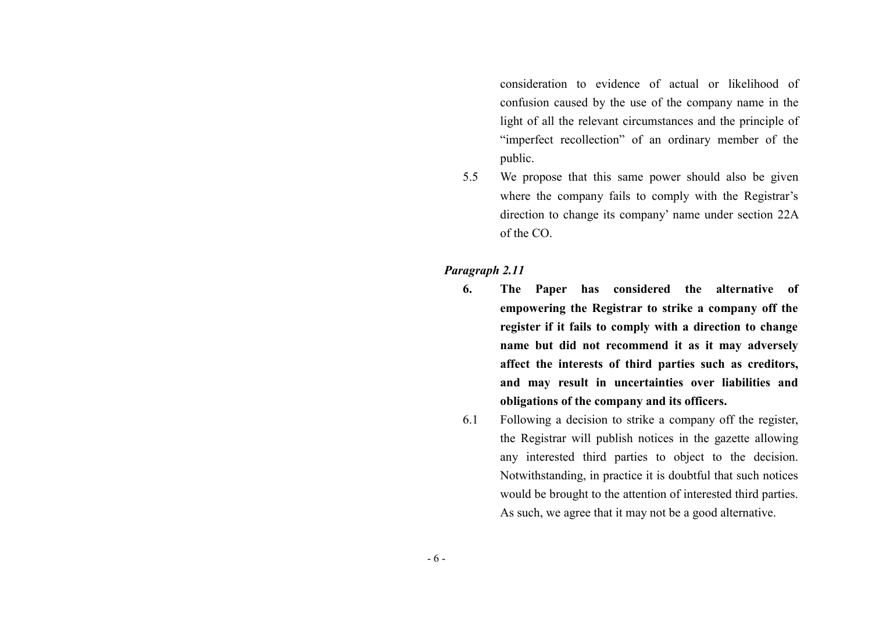consideration to evidence of actual or likelihood of confusion caused by the use of the company name in the light of all the relevant circumstances and the principle of "imperfect recollection" of an ordinary member of the public.

5.5 We propose that this same power should also be given where the company fails to comply with the Registrar's direction to change its company' name under section 22A of the CO.

#### *Paragraph 2.11*

- **6. The Paper has considered the alternative of empowering the Registrar to strike a company off the register if it fails to comply with a direction to change name but did not recommend it as it may adversely affect the interests of third parties such as creditors, and may result in uncertainties over liabilities and obligations of the company and its officers.**
- 6.1 Following a decision to strike a company off the register, the Registrar will publish notices in the gazette allowing any interested third parties to object to the decision. Notwithstanding, in practice it is doubtful that such notices would be brought to the attention of interested third parties. As such, we agree that it may not be a good alternative.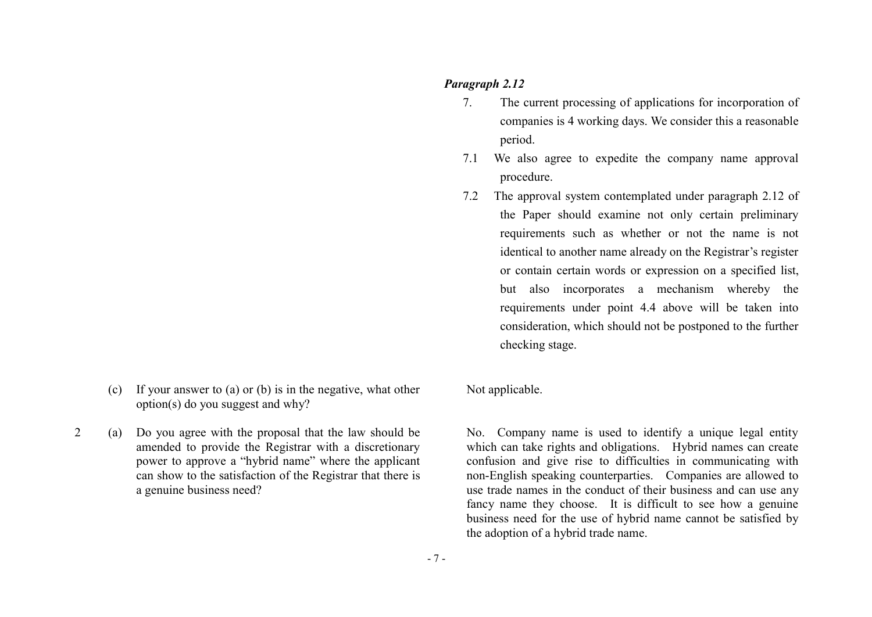#### *Paragraph 2.12*

- 7. The current processing of applications for incorporation of companies is 4 working days. We consider this a reasonable period.
- 7.1 We also agree to expedite the company name approval procedure.
- 7.2 The approval system contemplated under paragraph 2.12 of the Paper should examine not only certain preliminary requirements such as whether or not the name is not identical to another name already on the Registrar's register or contain certain words or expression on a specified list, but also incorporates a mechanism whereby the requirements under point 4.4 above will be taken into consideration, which should not be postponed to the further checking stage.

(c) If your answer to (a) or (b) is in the negative, what other option(s) do you suggest and why?

2 (a) Do you agree with the proposal that the law should be amended to provide the Registrar with a discretionary power to approve a "hybrid name" where the applicant can show to the satisfaction of the Registrar that there is a genuine business need?

Not applicable.

No. Company name is used to identify a unique legal entity which can take rights and obligations. Hybrid names can create confusion and give rise to difficulties in communicating with non-English speaking counterparties. Companies are allowed to use trade names in the conduct of their business and can use any fancy name they choose. It is difficult to see how a genuine business need for the use of hybrid name cannot be satisfied by the adoption of a hybrid trade name.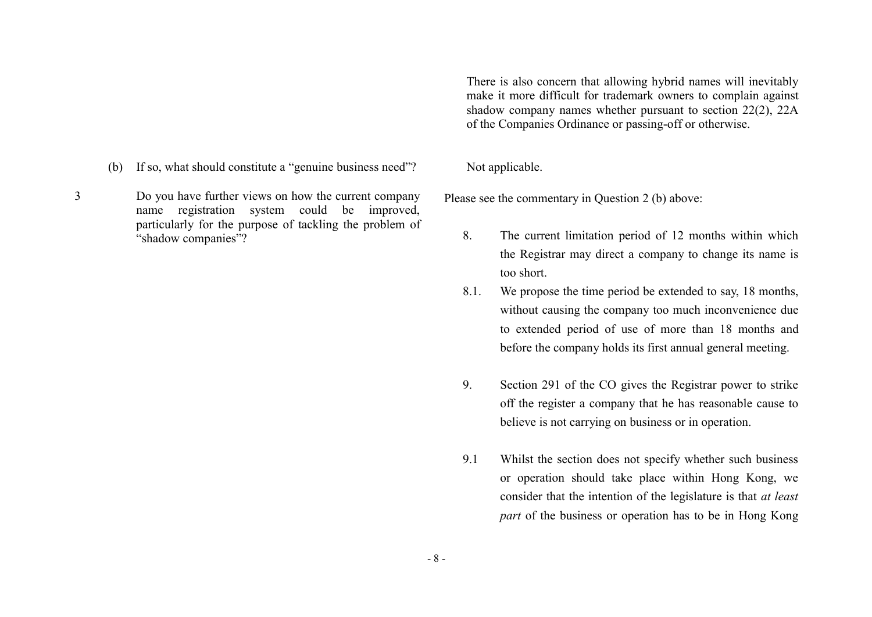- (b) If so, what should constitute a "genuine business need"? Not applicable.
- 3 Do you have further views on how the current company name registration system could be improved, particularly for the purpose of tackling the problem of "shadow companies"?

There is also concern that allowing hybrid names will inevitably make it more difficult for trademark owners to complain against shadow company names whether pursuant to section 22(2), 22A of the Companies Ordinance or passing-off or otherwise.

Please see the commentary in Question 2 (b) above:

- 8. The current limitation period of 12 months within which the Registrar may direct a company to change its name is too short.
- 8.1. We propose the time period be extended to say, 18 months, without causing the company too much inconvenience due to extended period of use of more than 18 months and before the company holds its first annual general meeting.
- 9. Section 291 of the CO gives the Registrar power to strike off the register a company that he has reasonable cause to believe is not carrying on business or in operation.
- 9.1 Whilst the section does not specify whether such business or operation should take place within Hong Kong, we consider that the intention of the legislature is that *at least part* of the business or operation has to be in Hong Kong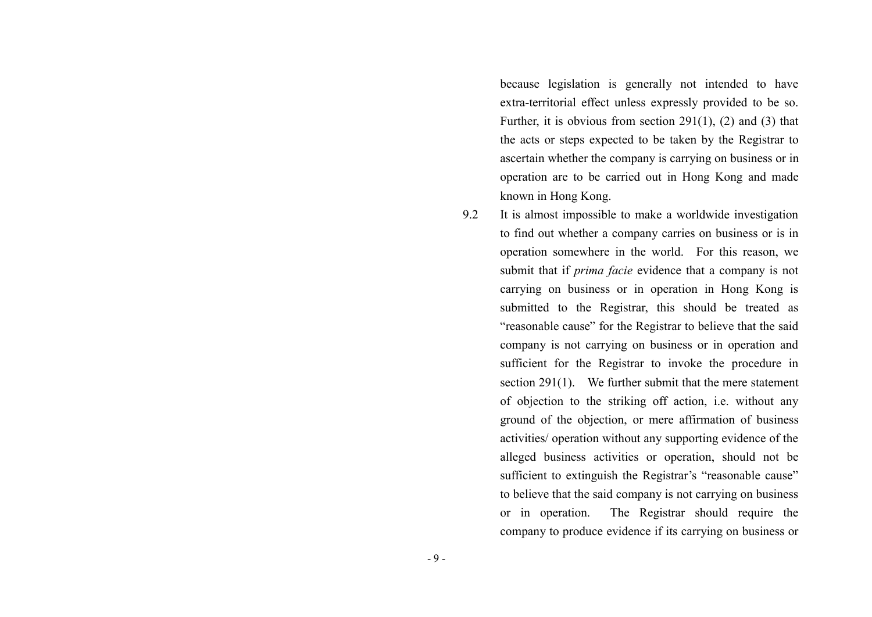because legislation is generally not intended to have extra-territorial effect unless expressly provided to be so. Further, it is obvious from section 291(1), (2) and (3) that the acts or steps expected to be taken by the Registrar to ascertain whether the company is carrying on business or in operation are to be carried out in Hong Kong and made known in Hong Kong.

9.2 It is almost impossible to make a worldwide investigation to find out whether a company carries on business or is in operation somewhere in the world. For this reason, we submit that if *prima facie* evidence that a company is not carrying on business or in operation in Hong Kong is submitted to the Registrar, this should be treated as "reasonable cause" for the Registrar to believe that the said company is not carrying on business or in operation and sufficient for the Registrar to invoke the procedure in section 291(1). We further submit that the mere statement of objection to the striking off action, i.e. without any ground of the objection, or mere affirmation of business activities/ operation without any supporting evidence of the alleged business activities or operation, should not be sufficient to extinguish the Registrar's "reasonable cause" to believe that the said company is not carrying on business or in operation. The Registrar should require the company to produce evidence if its carrying on business or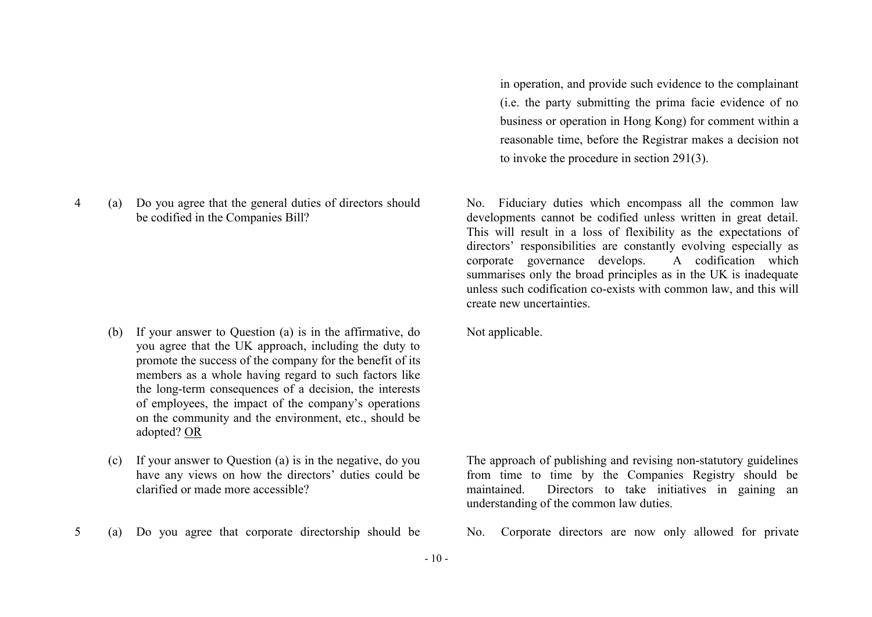4 (a) Do you agree that the general duties of directors should be codified in the Companies Bill?

- (b) If your answer to Question (a) is in the affirmative, do you agree that the UK approach, including the duty to promote the success of the company for the benefit of its members as a whole having regard to such factors like the long-term consequences of a decision, the interests of employees, the impact of the company's operations on the community and the environment, etc., should be adopted? OR
- (c) If your answer to Question (a) is in the negative, do you have any views on how the directors' duties could be clarified or made more accessible?
- 5 (a) Do you agree that corporate directorship should be No. Corporate directors are now only allowed for private

in operation, and provide such evidence to the complainant (i.e. the party submitting the prima facie evidence of no business or operation in Hong Kong) for comment within a reasonable time, before the Registrar makes a decision not to invoke the procedure in section 291(3).

No. Fiduciary duties which encompass all the common law developments cannot be codified unless written in great detail. This will result in a loss of flexibility as the expectations of directors' responsibilities are constantly evolving especially as corporate governance develops. A codification which summarises only the broad principles as in the UK is inadequate unless such codification co-exists with common law, and this will create new uncertainties.

Not applicable.

The approach of publishing and revising non-statutory guidelines from time to time by the Companies Registry should be maintained. Directors to take initiatives in gaining an understanding of the common law duties.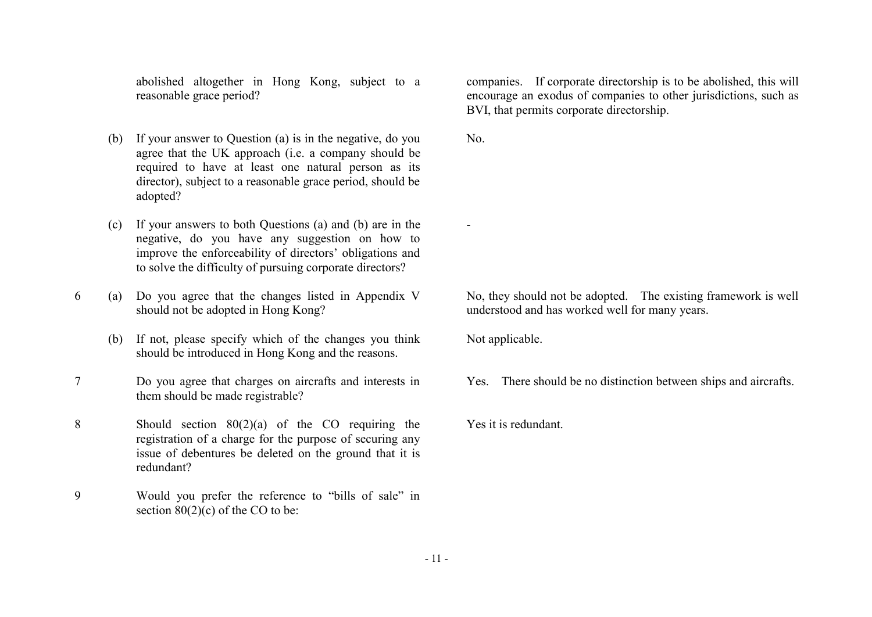abolished altogether in Hong Kong, subject to a reasonable grace period?

- (b) If your answer to Question (a) is in the negative, do you agree that the UK approach (i.e. a company should be required to have at least one natural person as its director), subject to a reasonable grace period, should be adopted?
- (c) If your answers to both Questions (a) and (b) are in the negative, do you have any suggestion on how to improve the enforceability of directors' obligations and to solve the difficulty of pursuing corporate directors?
- 6 (a) Do you agree that the changes listed in Appendix V should not be adopted in Hong Kong?
	- (b) If not, please specify which of the changes you think should be introduced in Hong Kong and the reasons.
- 7 Do you agree that charges on aircrafts and interests in them should be made registrable?
- 8 Should section 80(2)(a) of the CO requiring the registration of a charge for the purpose of securing any issue of debentures be deleted on the ground that it is redundant?
- 9 Would you prefer the reference to "bills of sale" in section  $80(2)(c)$  of the CO to be:

companies. If corporate directorship is to be abolished, this will encourage an exodus of companies to other jurisdictions, such as BVI, that permits corporate directorship.

No.

-

No, they should not be adopted. The existing framework is well understood and has worked well for many years.

Not applicable.

Yes. There should be no distinction between ships and aircrafts.

Yes it is redundant.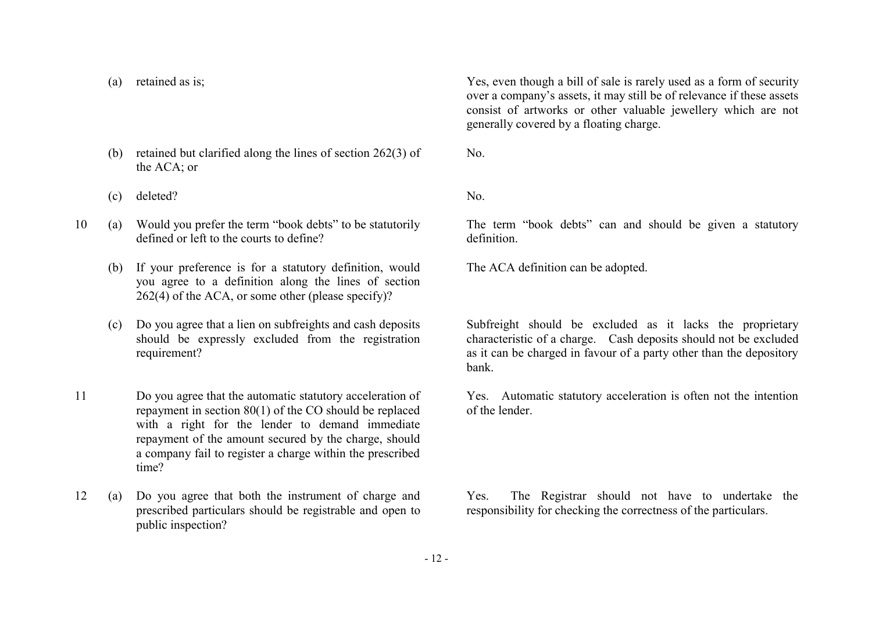(c) deleted? No.

the ACA; or

- 10 (a) Would you prefer the term "book debts" to be statutorily defined or left to the courts to define?
	- (b) If your preference is for a statutory definition, would you agree to a definition along the lines of section 262(4) of the ACA, or some other (please specify)?

(b) retained but clarified along the lines of section 262(3) of

- (c) Do you agree that a lien on subfreights and cash deposits should be expressly excluded from the registration requirement?
- 11 Do you agree that the automatic statutory acceleration of repayment in section 80(1) of the CO should be replaced with a right for the lender to demand immediate repayment of the amount secured by the charge, should a company fail to register a charge within the prescribed time?
- 12 (a) Do you agree that both the instrument of charge and prescribed particulars should be registrable and open to public inspection?

(a) retained as is; Yes, even though a bill of sale is rarely used as a form of security over a company's assets, it may still be of relevance if these assets consist of artworks or other valuable jewellery which are not generally covered by a floating charge.

No.

The term "book debts" can and should be given a statutory definition.

The ACA definition can be adopted.

Subfreight should be excluded as it lacks the proprietary characteristic of a charge. Cash deposits should not be excluded as it can be charged in favour of a party other than the depository bank.

Yes. Automatic statutory acceleration is often not the intention of the lender.

Yes. The Registrar should not have to undertake the responsibility for checking the correctness of the particulars.